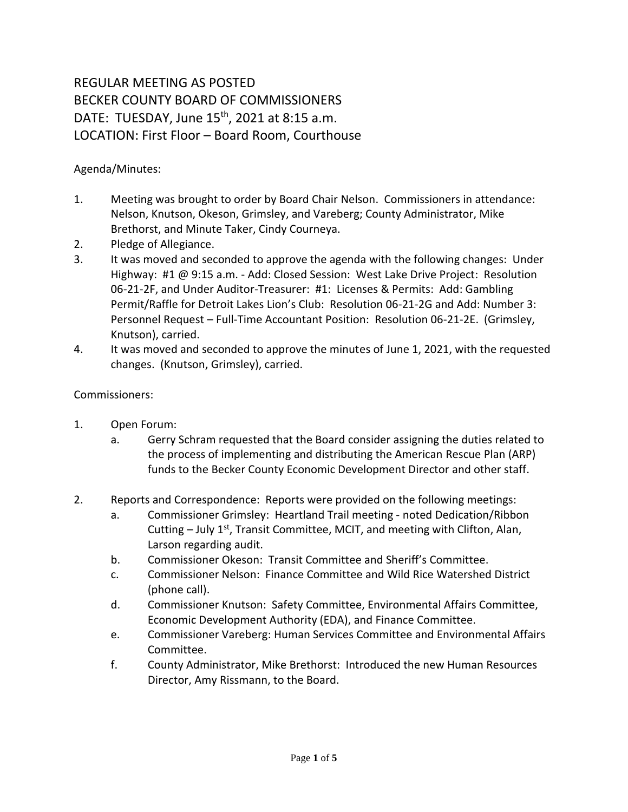## REGULAR MEETING AS POSTED BECKER COUNTY BOARD OF COMMISSIONERS DATE: TUESDAY, June 15<sup>th</sup>, 2021 at 8:15 a.m. LOCATION: First Floor – Board Room, Courthouse

## Agenda/Minutes:

- 1. Meeting was brought to order by Board Chair Nelson. Commissioners in attendance: Nelson, Knutson, Okeson, Grimsley, and Vareberg; County Administrator, Mike Brethorst, and Minute Taker, Cindy Courneya.
- 2. Pledge of Allegiance.
- 3. It was moved and seconded to approve the agenda with the following changes: Under Highway: #1 @ 9:15 a.m. - Add: Closed Session: West Lake Drive Project: Resolution 06-21-2F, and Under Auditor-Treasurer: #1: Licenses & Permits: Add: Gambling Permit/Raffle for Detroit Lakes Lion's Club: Resolution 06-21-2G and Add: Number 3: Personnel Request – Full-Time Accountant Position: Resolution 06-21-2E. (Grimsley, Knutson), carried.
- 4. It was moved and seconded to approve the minutes of June 1, 2021, with the requested changes. (Knutson, Grimsley), carried.

## Commissioners:

- 1. Open Forum:
	- a. Gerry Schram requested that the Board consider assigning the duties related to the process of implementing and distributing the American Rescue Plan (ARP) funds to the Becker County Economic Development Director and other staff.
- 2. Reports and Correspondence: Reports were provided on the following meetings:
	- a. Commissioner Grimsley: Heartland Trail meeting noted Dedication/Ribbon Cutting - July 1<sup>st</sup>, Transit Committee, MCIT, and meeting with Clifton, Alan, Larson regarding audit.
	- b. Commissioner Okeson: Transit Committee and Sheriff's Committee.
	- c. Commissioner Nelson: Finance Committee and Wild Rice Watershed District (phone call).
	- d. Commissioner Knutson: Safety Committee, Environmental Affairs Committee, Economic Development Authority (EDA), and Finance Committee.
	- e. Commissioner Vareberg: Human Services Committee and Environmental Affairs Committee.
	- f. County Administrator, Mike Brethorst: Introduced the new Human Resources Director, Amy Rissmann, to the Board.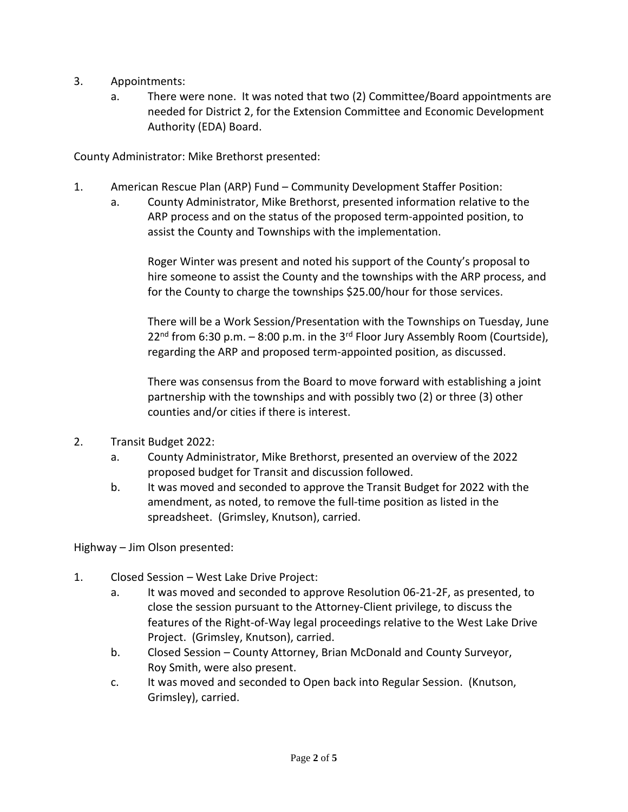- 3. Appointments:
	- a. There were none. It was noted that two (2) Committee/Board appointments are needed for District 2, for the Extension Committee and Economic Development Authority (EDA) Board.

County Administrator: Mike Brethorst presented:

- 1. American Rescue Plan (ARP) Fund Community Development Staffer Position:
	- a. County Administrator, Mike Brethorst, presented information relative to the ARP process and on the status of the proposed term-appointed position, to assist the County and Townships with the implementation.

Roger Winter was present and noted his support of the County's proposal to hire someone to assist the County and the townships with the ARP process, and for the County to charge the townships \$25.00/hour for those services.

There will be a Work Session/Presentation with the Townships on Tuesday, June  $22<sup>nd</sup>$  from 6:30 p.m. – 8:00 p.m. in the 3<sup>rd</sup> Floor Jury Assembly Room (Courtside), regarding the ARP and proposed term-appointed position, as discussed.

There was consensus from the Board to move forward with establishing a joint partnership with the townships and with possibly two (2) or three (3) other counties and/or cities if there is interest.

- 2. Transit Budget 2022:
	- a. County Administrator, Mike Brethorst, presented an overview of the 2022 proposed budget for Transit and discussion followed.
	- b. It was moved and seconded to approve the Transit Budget for 2022 with the amendment, as noted, to remove the full-time position as listed in the spreadsheet. (Grimsley, Knutson), carried.

Highway – Jim Olson presented:

- 1. Closed Session West Lake Drive Project:
	- a. It was moved and seconded to approve Resolution 06-21-2F, as presented, to close the session pursuant to the Attorney-Client privilege, to discuss the features of the Right-of-Way legal proceedings relative to the West Lake Drive Project. (Grimsley, Knutson), carried.
	- b. Closed Session County Attorney, Brian McDonald and County Surveyor, Roy Smith, were also present.
	- c. It was moved and seconded to Open back into Regular Session. (Knutson, Grimsley), carried.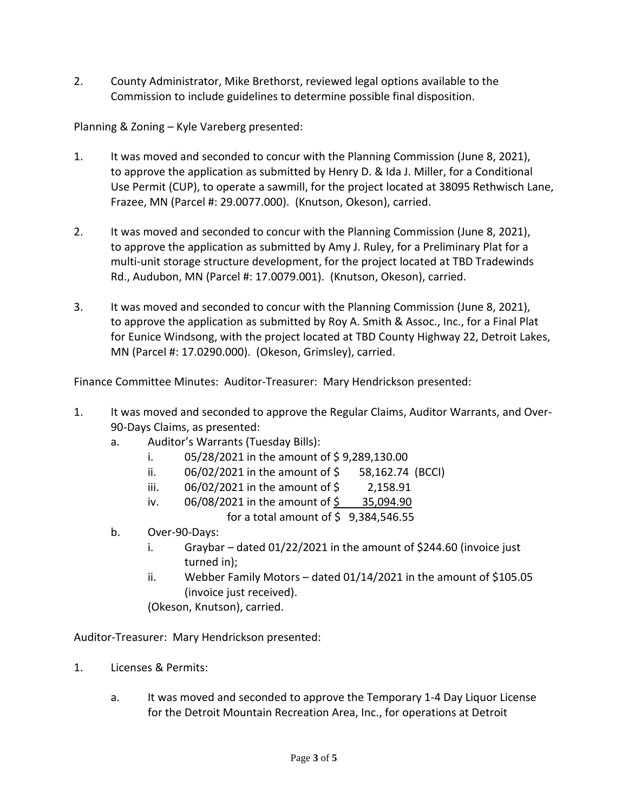2. County Administrator, Mike Brethorst, reviewed legal options available to the Commission to include guidelines to determine possible final disposition.

Planning & Zoning – Kyle Vareberg presented:

- 1. It was moved and seconded to concur with the Planning Commission (June 8, 2021), to approve the application as submitted by Henry D. & Ida J. Miller, for a Conditional Use Permit (CUP), to operate a sawmill, for the project located at 38095 Rethwisch Lane, Frazee, MN (Parcel #: 29.0077.000). (Knutson, Okeson), carried.
- 2. It was moved and seconded to concur with the Planning Commission (June 8, 2021), to approve the application as submitted by Amy J. Ruley, for a Preliminary Plat for a multi-unit storage structure development, for the project located at TBD Tradewinds Rd., Audubon, MN (Parcel #: 17.0079.001). (Knutson, Okeson), carried.
- 3. It was moved and seconded to concur with the Planning Commission (June 8, 2021), to approve the application as submitted by Roy A. Smith & Assoc., Inc., for a Final Plat for Eunice Windsong, with the project located at TBD County Highway 22, Detroit Lakes, MN (Parcel #: 17.0290.000). (Okeson, Grimsley), carried.

Finance Committee Minutes: Auditor-Treasurer: Mary Hendrickson presented:

- 1. It was moved and seconded to approve the Regular Claims, Auditor Warrants, and Over-90-Days Claims, as presented:
	- a. Auditor's Warrants (Tuesday Bills):
		- i.  $05/28/2021$  in the amount of \$9,289,130.00
		- ii.  $06/02/2021$  in the amount of  $\frac{1}{2}$  58,162.74 (BCCI)
		- iii. 06/02/2021 in the amount of \$ 2,158.91
		- iv.  $06/08/2021$  in the amount of  $\frac{6}{5}$  35,094.90

for a total amount of  $\frac{1}{2}$  9,384,546.55

- b. Over-90-Days:
	- i. Graybar dated 01/22/2021 in the amount of \$244.60 (invoice just turned in);
	- ii. Webber Family Motors dated 01/14/2021 in the amount of \$105.05 (invoice just received).

(Okeson, Knutson), carried.

Auditor-Treasurer: Mary Hendrickson presented:

- 1. Licenses & Permits:
	- a. It was moved and seconded to approve the Temporary 1-4 Day Liquor License for the Detroit Mountain Recreation Area, Inc., for operations at Detroit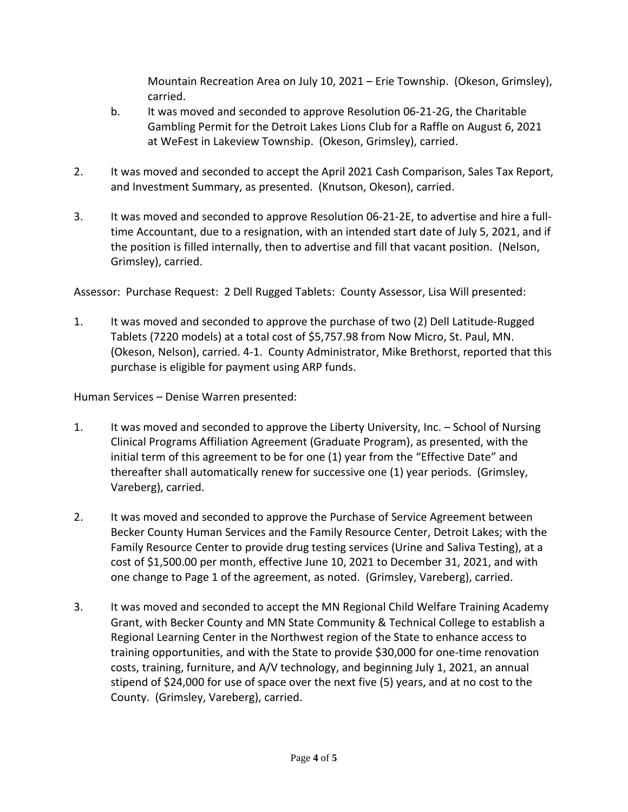Mountain Recreation Area on July 10, 2021 – Erie Township. (Okeson, Grimsley), carried.

- b. It was moved and seconded to approve Resolution 06-21-2G, the Charitable Gambling Permit for the Detroit Lakes Lions Club for a Raffle on August 6, 2021 at WeFest in Lakeview Township. (Okeson, Grimsley), carried.
- 2. It was moved and seconded to accept the April 2021 Cash Comparison, Sales Tax Report, and Investment Summary, as presented. (Knutson, Okeson), carried.
- 3. It was moved and seconded to approve Resolution 06-21-2E, to advertise and hire a fulltime Accountant, due to a resignation, with an intended start date of July 5, 2021, and if the position is filled internally, then to advertise and fill that vacant position. (Nelson, Grimsley), carried.

Assessor: Purchase Request: 2 Dell Rugged Tablets: County Assessor, Lisa Will presented:

1. It was moved and seconded to approve the purchase of two (2) Dell Latitude-Rugged Tablets (7220 models) at a total cost of \$5,757.98 from Now Micro, St. Paul, MN. (Okeson, Nelson), carried. 4-1. County Administrator, Mike Brethorst, reported that this purchase is eligible for payment using ARP funds.

Human Services – Denise Warren presented:

- 1. It was moved and seconded to approve the Liberty University, Inc. School of Nursing Clinical Programs Affiliation Agreement (Graduate Program), as presented, with the initial term of this agreement to be for one (1) year from the "Effective Date" and thereafter shall automatically renew for successive one (1) year periods. (Grimsley, Vareberg), carried.
- 2. It was moved and seconded to approve the Purchase of Service Agreement between Becker County Human Services and the Family Resource Center, Detroit Lakes; with the Family Resource Center to provide drug testing services (Urine and Saliva Testing), at a cost of \$1,500.00 per month, effective June 10, 2021 to December 31, 2021, and with one change to Page 1 of the agreement, as noted. (Grimsley, Vareberg), carried.
- 3. It was moved and seconded to accept the MN Regional Child Welfare Training Academy Grant, with Becker County and MN State Community & Technical College to establish a Regional Learning Center in the Northwest region of the State to enhance access to training opportunities, and with the State to provide \$30,000 for one-time renovation costs, training, furniture, and A/V technology, and beginning July 1, 2021, an annual stipend of \$24,000 for use of space over the next five (5) years, and at no cost to the County. (Grimsley, Vareberg), carried.